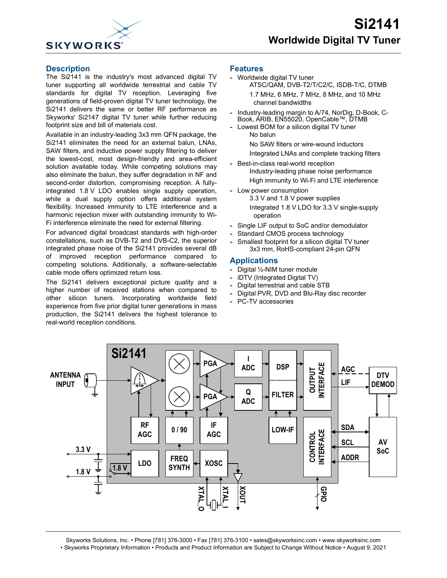

#### **Description**

The Si2141 is the industry's most advanced digital TV tuner supporting all worldwide terrestrial and cable TV standards for digital TV reception. Leveraging five generations of field-proven digital TV tuner technology, the Si2141 delivers the same or better RF performance as Skyworks' Si2147 digital TV tuner while further reducing footprint size and bill of materials cost.

Available in an industry-leading 3x3 mm QFN package, the Si2141 eliminates the need for an external balun, LNAs, SAW filters, and inductive power supply filtering to deliver the lowest-cost, most design-friendly and area-efficient solution available today. While competing solutions may also eliminate the balun, they suffer degradation in NF and second-order distortion, compromising reception. A fullyintegrated 1.8 V LDO enables single supply operation, while a dual supply option offers additional system flexibility. Increased immunity to LTE interference and a harmonic rejection mixer with outstanding immunity to Wi-Fi interference eliminate the need for external filtering.

For advanced digital broadcast standards with high-order constellations, such as DVB-T2 and DVB-C2, the superior integrated phase noise of the Si2141 provides several dB of improved reception performance compared to competing solutions. Additionally, a software-selectable cable mode offers optimized return loss.

The Si2141 delivers exceptional picture quality and a higher number of received stations when compared to other silicon tuners. Incorporating worldwide field experience from five prior digital tuner generations in mass production, the Si2141 delivers the highest tolerance to real-world reception conditions.

#### **Features**

- **-** Worldwide digital TV tuner ATSC/QAM, DVB-T2/T/C2/C, ISDB-T/C, DTMB 1.7 MHz, 6 MHz, 7 MHz, 8 MHz, and 10 MHz channel bandwidths
- **-** Industry-leading margin to A/74, NorDig, D-Book, C-Book, ARIB, EN55020, OpenCable™, DTMB
- **-** Lowest BOM for a silicon digital TV tuner No balun No SAW filters or wire-wound inductors
	- Integrated LNAs and complete tracking filters
- **-** Best-in-class real-world reception Industry-leading phase noise performance High immunity to Wi-Fi and LTE interference
- **-** Low power consumption 3.3 V and 1.8 V power supplies Integrated 1.8 V LDO for 3.3 V single-supply operation
- **-** Single LIF output to SoC and/or demodulator
- **-** Standard CMOS process technology
- **-** Smallest footprint for a silicon digital TV tuner 3x3 mm, RoHS-compliant 24-pin QFN

#### **Applications**

- **-** Digital ½-NIM tuner module
- **-** iDTV (Integrated Digital TV)
- **-** Digital terrestrial and cable STB
- **-** Digital PVR, DVD and Blu-Ray disc recorder
- **-** PC-TV accessories